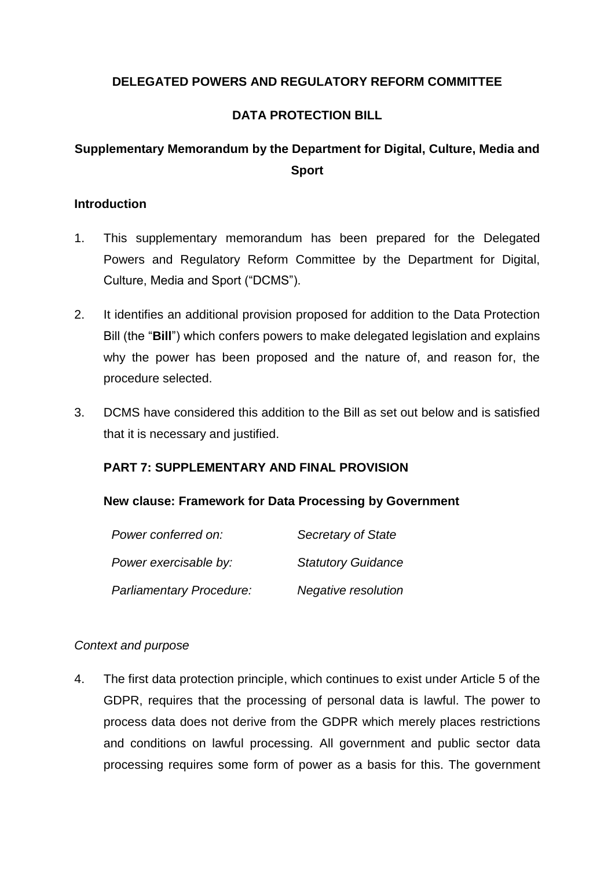## **DELEGATED POWERS AND REGULATORY REFORM COMMITTEE**

## **DATA PROTECTION BILL**

# **Supplementary Memorandum by the Department for Digital, Culture, Media and Sport**

## **Introduction**

- 1. This supplementary memorandum has been prepared for the Delegated Powers and Regulatory Reform Committee by the Department for Digital, Culture, Media and Sport ("DCMS").
- 2. It identifies an additional provision proposed for addition to the Data Protection Bill (the "**Bill**") which confers powers to make delegated legislation and explains why the power has been proposed and the nature of, and reason for, the procedure selected.
- 3. DCMS have considered this addition to the Bill as set out below and is satisfied that it is necessary and justified.

## **PART 7: SUPPLEMENTARY AND FINAL PROVISION**

## **New clause: Framework for Data Processing by Government**

| Power conferred on:      | Secretary of State        |
|--------------------------|---------------------------|
| Power exercisable by:    | <b>Statutory Guidance</b> |
| Parliamentary Procedure: | Negative resolution       |

## *Context and purpose*

4. The first data protection principle, which continues to exist under Article 5 of the GDPR, requires that the processing of personal data is lawful. The power to process data does not derive from the GDPR which merely places restrictions and conditions on lawful processing. All government and public sector data processing requires some form of power as a basis for this. The government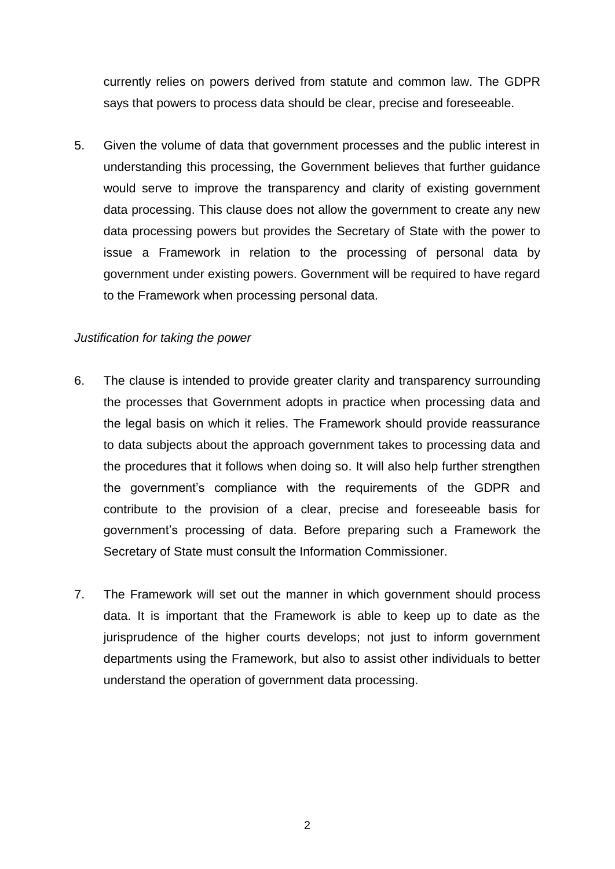currently relies on powers derived from statute and common law. The GDPR says that powers to process data should be clear, precise and foreseeable.

5. Given the volume of data that government processes and the public interest in understanding this processing, the Government believes that further guidance would serve to improve the transparency and clarity of existing government data processing. This clause does not allow the government to create any new data processing powers but provides the Secretary of State with the power to issue a Framework in relation to the processing of personal data by government under existing powers. Government will be required to have regard to the Framework when processing personal data.

## *Justification for taking the power*

- 6. The clause is intended to provide greater clarity and transparency surrounding the processes that Government adopts in practice when processing data and the legal basis on which it relies. The Framework should provide reassurance to data subjects about the approach government takes to processing data and the procedures that it follows when doing so. It will also help further strengthen the government's compliance with the requirements of the GDPR and contribute to the provision of a clear, precise and foreseeable basis for government's processing of data. Before preparing such a Framework the Secretary of State must consult the Information Commissioner.
- 7. The Framework will set out the manner in which government should process data. It is important that the Framework is able to keep up to date as the jurisprudence of the higher courts develops; not just to inform government departments using the Framework, but also to assist other individuals to better understand the operation of government data processing.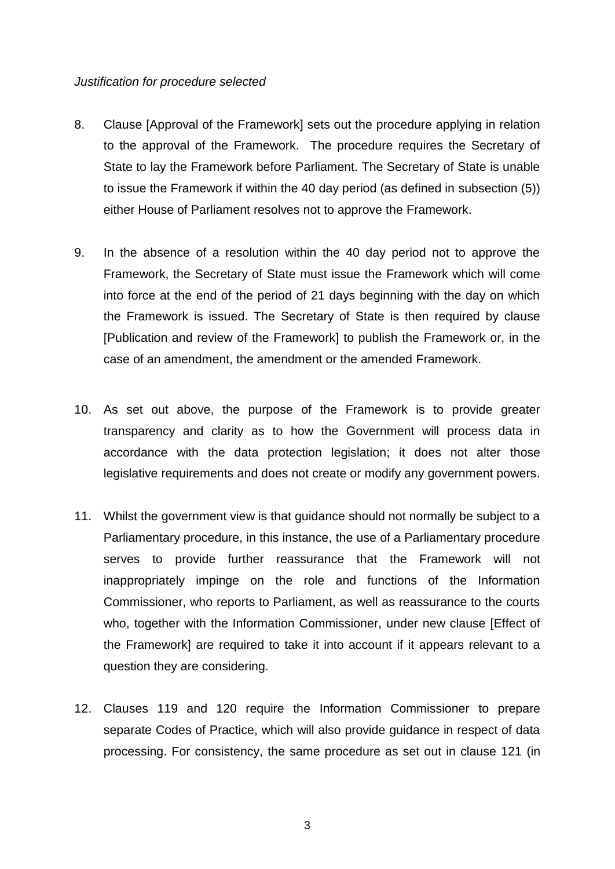#### *Justification for procedure selected*

- 8. Clause [Approval of the Framework] sets out the procedure applying in relation to the approval of the Framework. The procedure requires the Secretary of State to lay the Framework before Parliament. The Secretary of State is unable to issue the Framework if within the 40 day period (as defined in subsection (5)) either House of Parliament resolves not to approve the Framework.
- 9. In the absence of a resolution within the 40 day period not to approve the Framework, the Secretary of State must issue the Framework which will come into force at the end of the period of 21 days beginning with the day on which the Framework is issued. The Secretary of State is then required by clause [Publication and review of the Framework] to publish the Framework or, in the case of an amendment, the amendment or the amended Framework.
- 10. As set out above, the purpose of the Framework is to provide greater transparency and clarity as to how the Government will process data in accordance with the data protection legislation; it does not alter those legislative requirements and does not create or modify any government powers.
- 11. Whilst the government view is that guidance should not normally be subject to a Parliamentary procedure, in this instance, the use of a Parliamentary procedure serves to provide further reassurance that the Framework will not inappropriately impinge on the role and functions of the Information Commissioner, who reports to Parliament, as well as reassurance to the courts who, together with the Information Commissioner, under new clause [Effect of the Framework] are required to take it into account if it appears relevant to a question they are considering.
- 12. Clauses 119 and 120 require the Information Commissioner to prepare separate Codes of Practice, which will also provide guidance in respect of data processing. For consistency, the same procedure as set out in clause 121 (in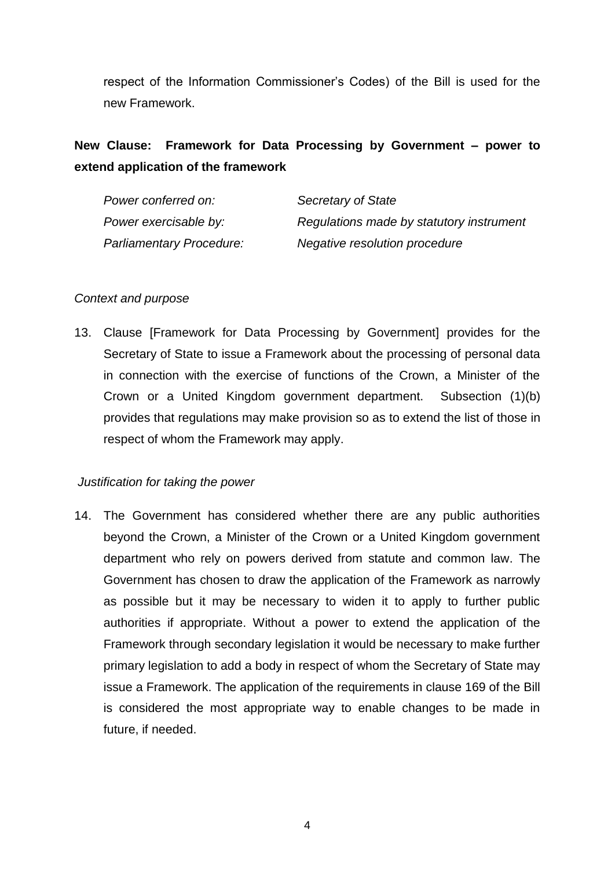respect of the Information Commissioner's Codes) of the Bill is used for the new Framework.

# **New Clause: Framework for Data Processing by Government – power to extend application of the framework**

| Power conferred on:      | Secretary of State                       |
|--------------------------|------------------------------------------|
| Power exercisable by:    | Regulations made by statutory instrument |
| Parliamentary Procedure: | Negative resolution procedure            |

## *Context and purpose*

13. Clause [Framework for Data Processing by Government] provides for the Secretary of State to issue a Framework about the processing of personal data in connection with the exercise of functions of the Crown, a Minister of the Crown or a United Kingdom government department. Subsection (1)(b) provides that regulations may make provision so as to extend the list of those in respect of whom the Framework may apply.

## *Justification for taking the power*

14. The Government has considered whether there are any public authorities beyond the Crown, a Minister of the Crown or a United Kingdom government department who rely on powers derived from statute and common law. The Government has chosen to draw the application of the Framework as narrowly as possible but it may be necessary to widen it to apply to further public authorities if appropriate. Without a power to extend the application of the Framework through secondary legislation it would be necessary to make further primary legislation to add a body in respect of whom the Secretary of State may issue a Framework. The application of the requirements in clause 169 of the Bill is considered the most appropriate way to enable changes to be made in future, if needed.